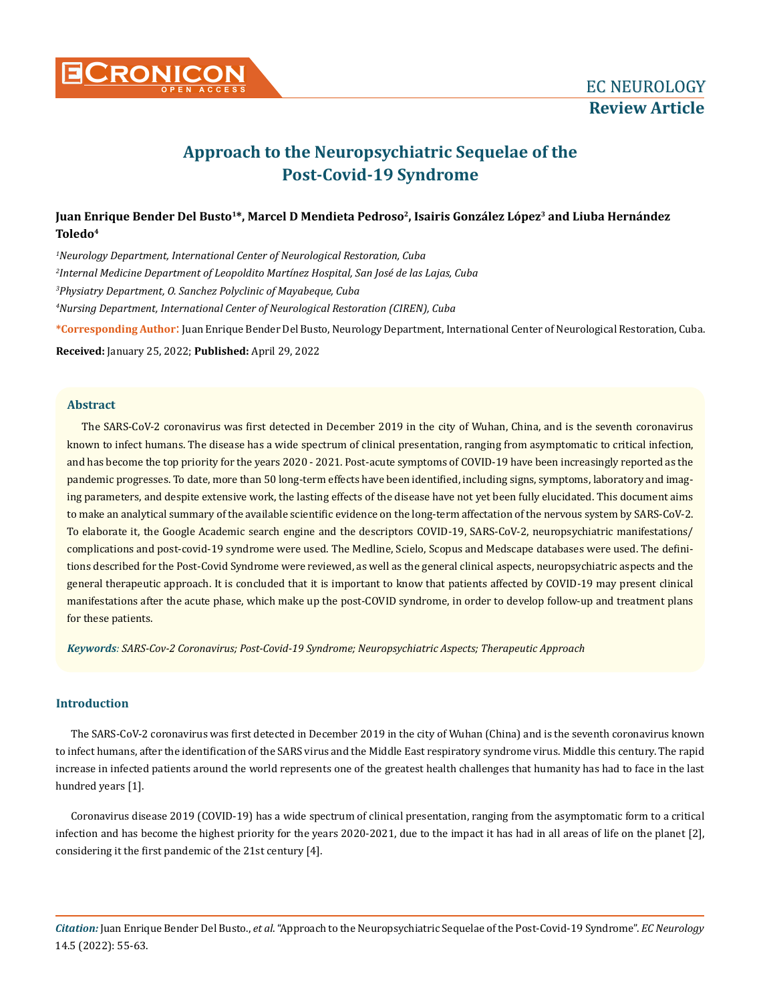

# **Approach to the Neuropsychiatric Sequelae of the Post-Covid-19 Syndrome**

# Juan Enrique Bender Del Busto<sup>1\*</sup>, Marcel D Mendieta Pedroso<sup>2</sup>, Isairis González López<sup>3</sup> and Liuba Hernández **Toledo4**

 *Neurology Department, International Center of Neurological Restoration, Cuba Internal Medicine Department of Leopoldito Martínez Hospital, San José de las Lajas, Cuba Physiatry Department, O. Sanchez Polyclinic of Mayabeque, Cuba Nursing Department, International Center of Neurological Restoration (CIREN), Cuba* **\*Corresponding Author**: Juan Enrique Bender Del Busto, Neurology Department, International Center of Neurological Restoration, Cuba.

**Received:** January 25, 2022; **Published:** April 29, 2022

## **Abstract**

The SARS-CoV-2 coronavirus was first detected in December 2019 in the city of Wuhan, China, and is the seventh coronavirus known to infect humans. The disease has a wide spectrum of clinical presentation, ranging from asymptomatic to critical infection, and has become the top priority for the years 2020 - 2021. Post-acute symptoms of COVID-19 have been increasingly reported as the pandemic progresses. To date, more than 50 long-term effects have been identified, including signs, symptoms, laboratory and imaging parameters, and despite extensive work, the lasting effects of the disease have not yet been fully elucidated. This document aims to make an analytical summary of the available scientific evidence on the long-term affectation of the nervous system by SARS-CoV-2. To elaborate it, the Google Academic search engine and the descriptors COVID-19, SARS-CoV-2, neuropsychiatric manifestations/ complications and post-covid-19 syndrome were used. The Medline, Scielo, Scopus and Medscape databases were used. The definitions described for the Post-Covid Syndrome were reviewed, as well as the general clinical aspects, neuropsychiatric aspects and the general therapeutic approach. It is concluded that it is important to know that patients affected by COVID-19 may present clinical manifestations after the acute phase, which make up the post-COVID syndrome, in order to develop follow-up and treatment plans for these patients.

*Keywords: SARS-Cov-2 Coronavirus; Post-Covid-19 Syndrome; Neuropsychiatric Aspects; Therapeutic Approach*

## **Introduction**

The SARS-CoV-2 coronavirus was first detected in December 2019 in the city of Wuhan (China) and is the seventh coronavirus known to infect humans, after the identification of the SARS virus and the Middle East respiratory syndrome virus. Middle this century. The rapid increase in infected patients around the world represents one of the greatest health challenges that humanity has had to face in the last hundred years [1].

Coronavirus disease 2019 (COVID-19) has a wide spectrum of clinical presentation, ranging from the asymptomatic form to a critical infection and has become the highest priority for the years 2020-2021, due to the impact it has had in all areas of life on the planet [2], considering it the first pandemic of the 21st century [4].

*Citation:* Juan Enrique Bender Del Busto., *et al*. "Approach to the Neuropsychiatric Sequelae of the Post-Covid-19 Syndrome". *EC Neurology*  14.5 (2022): 55-63.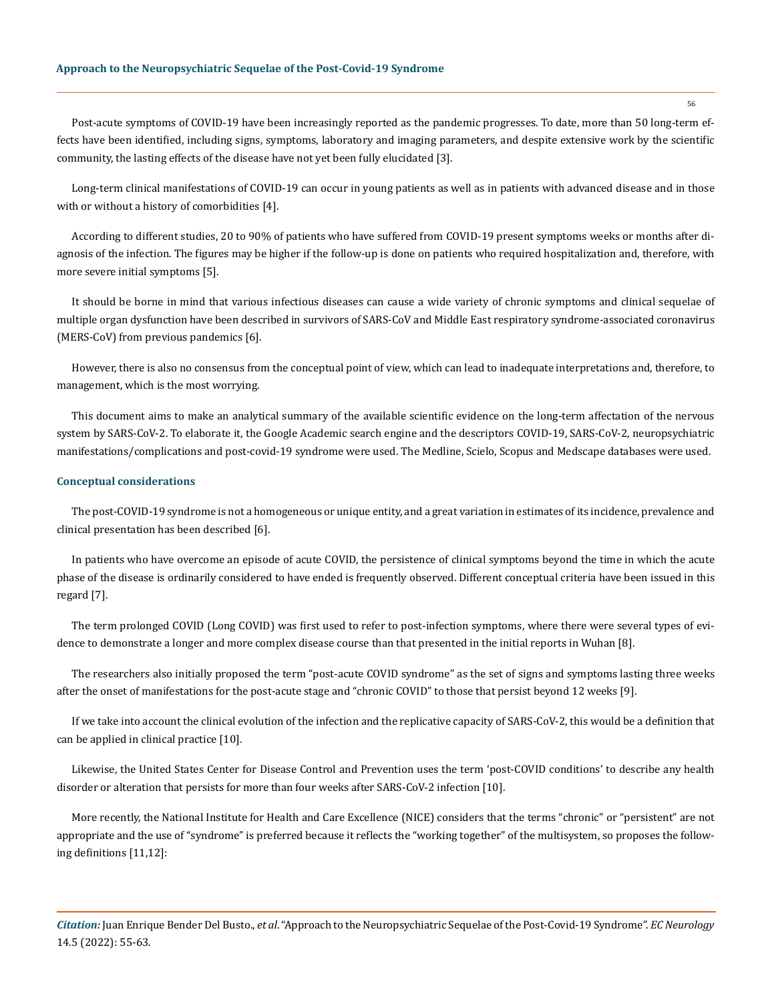Post-acute symptoms of COVID-19 have been increasingly reported as the pandemic progresses. To date, more than 50 long-term effects have been identified, including signs, symptoms, laboratory and imaging parameters, and despite extensive work by the scientific community, the lasting effects of the disease have not yet been fully elucidated [3].

Long-term clinical manifestations of COVID-19 can occur in young patients as well as in patients with advanced disease and in those with or without a history of comorbidities [4].

According to different studies, 20 to 90% of patients who have suffered from COVID-19 present symptoms weeks or months after diagnosis of the infection. The figures may be higher if the follow-up is done on patients who required hospitalization and, therefore, with more severe initial symptoms [5].

It should be borne in mind that various infectious diseases can cause a wide variety of chronic symptoms and clinical sequelae of multiple organ dysfunction have been described in survivors of SARS-CoV and Middle East respiratory syndrome-associated coronavirus (MERS-CoV) from previous pandemics [6].

However, there is also no consensus from the conceptual point of view, which can lead to inadequate interpretations and, therefore, to management, which is the most worrying.

This document aims to make an analytical summary of the available scientific evidence on the long-term affectation of the nervous system by SARS-CoV-2. To elaborate it, the Google Academic search engine and the descriptors COVID-19, SARS-CoV-2, neuropsychiatric manifestations/complications and post-covid-19 syndrome were used. The Medline, Scielo, Scopus and Medscape databases were used.

#### **Conceptual considerations**

The post-COVID-19 syndrome is not a homogeneous or unique entity, and a great variation in estimates of its incidence, prevalence and clinical presentation has been described [6].

In patients who have overcome an episode of acute COVID, the persistence of clinical symptoms beyond the time in which the acute phase of the disease is ordinarily considered to have ended is frequently observed. Different conceptual criteria have been issued in this regard [7].

The term prolonged COVID (Long COVID) was first used to refer to post-infection symptoms, where there were several types of evidence to demonstrate a longer and more complex disease course than that presented in the initial reports in Wuhan [8].

The researchers also initially proposed the term "post-acute COVID syndrome" as the set of signs and symptoms lasting three weeks after the onset of manifestations for the post-acute stage and "chronic COVID" to those that persist beyond 12 weeks [9].

If we take into account the clinical evolution of the infection and the replicative capacity of SARS-CoV-2, this would be a definition that can be applied in clinical practice [10].

Likewise, the United States Center for Disease Control and Prevention uses the term 'post-COVID conditions' to describe any health disorder or alteration that persists for more than four weeks after SARS-CoV-2 infection [10].

More recently, the National Institute for Health and Care Excellence (NICE) considers that the terms "chronic" or "persistent" are not appropriate and the use of "syndrome" is preferred because it reflects the "working together" of the multisystem, so proposes the following definitions [11,12]:

*Citation:* Juan Enrique Bender Del Busto., *et al*. "Approach to the Neuropsychiatric Sequelae of the Post-Covid-19 Syndrome". *EC Neurology*  14.5 (2022): 55-63.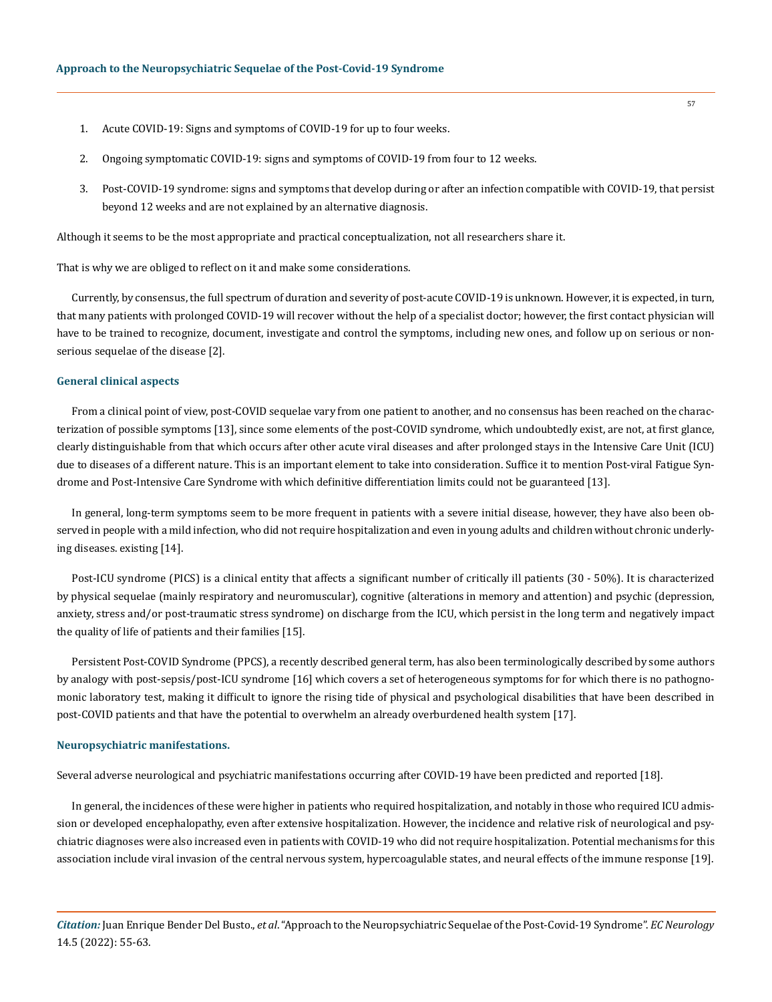- 1. Acute COVID-19: Signs and symptoms of COVID-19 for up to four weeks.
- 2. Ongoing symptomatic COVID-19: signs and symptoms of COVID-19 from four to 12 weeks.
- 3. Post-COVID-19 syndrome: signs and symptoms that develop during or after an infection compatible with COVID-19, that persist beyond 12 weeks and are not explained by an alternative diagnosis.

Although it seems to be the most appropriate and practical conceptualization, not all researchers share it.

That is why we are obliged to reflect on it and make some considerations.

Currently, by consensus, the full spectrum of duration and severity of post-acute COVID-19 is unknown. However, it is expected, in turn, that many patients with prolonged COVID-19 will recover without the help of a specialist doctor; however, the first contact physician will have to be trained to recognize, document, investigate and control the symptoms, including new ones, and follow up on serious or nonserious sequelae of the disease [2].

#### **General clinical aspects**

From a clinical point of view, post-COVID sequelae vary from one patient to another, and no consensus has been reached on the characterization of possible symptoms [13], since some elements of the post-COVID syndrome, which undoubtedly exist, are not, at first glance, clearly distinguishable from that which occurs after other acute viral diseases and after prolonged stays in the Intensive Care Unit (ICU) due to diseases of a different nature. This is an important element to take into consideration. Suffice it to mention Post-viral Fatigue Syndrome and Post-Intensive Care Syndrome with which definitive differentiation limits could not be guaranteed [13].

In general, long-term symptoms seem to be more frequent in patients with a severe initial disease, however, they have also been observed in people with a mild infection, who did not require hospitalization and even in young adults and children without chronic underlying diseases. existing [14].

Post-ICU syndrome (PICS) is a clinical entity that affects a significant number of critically ill patients (30 - 50%). It is characterized by physical sequelae (mainly respiratory and neuromuscular), cognitive (alterations in memory and attention) and psychic (depression, anxiety, stress and/or post-traumatic stress syndrome) on discharge from the ICU, which persist in the long term and negatively impact the quality of life of patients and their families [15].

Persistent Post-COVID Syndrome (PPCS), a recently described general term, has also been terminologically described by some authors by analogy with post-sepsis/post-ICU syndrome [16] which covers a set of heterogeneous symptoms for for which there is no pathognomonic laboratory test, making it difficult to ignore the rising tide of physical and psychological disabilities that have been described in post-COVID patients and that have the potential to overwhelm an already overburdened health system [17].

#### **Neuropsychiatric manifestations.**

Several adverse neurological and psychiatric manifestations occurring after COVID-19 have been predicted and reported [18].

In general, the incidences of these were higher in patients who required hospitalization, and notably in those who required ICU admission or developed encephalopathy, even after extensive hospitalization. However, the incidence and relative risk of neurological and psychiatric diagnoses were also increased even in patients with COVID-19 who did not require hospitalization. Potential mechanisms for this association include viral invasion of the central nervous system, hypercoagulable states, and neural effects of the immune response [19].

*Citation:* Juan Enrique Bender Del Busto., *et al*. "Approach to the Neuropsychiatric Sequelae of the Post-Covid-19 Syndrome". *EC Neurology*  14.5 (2022): 55-63.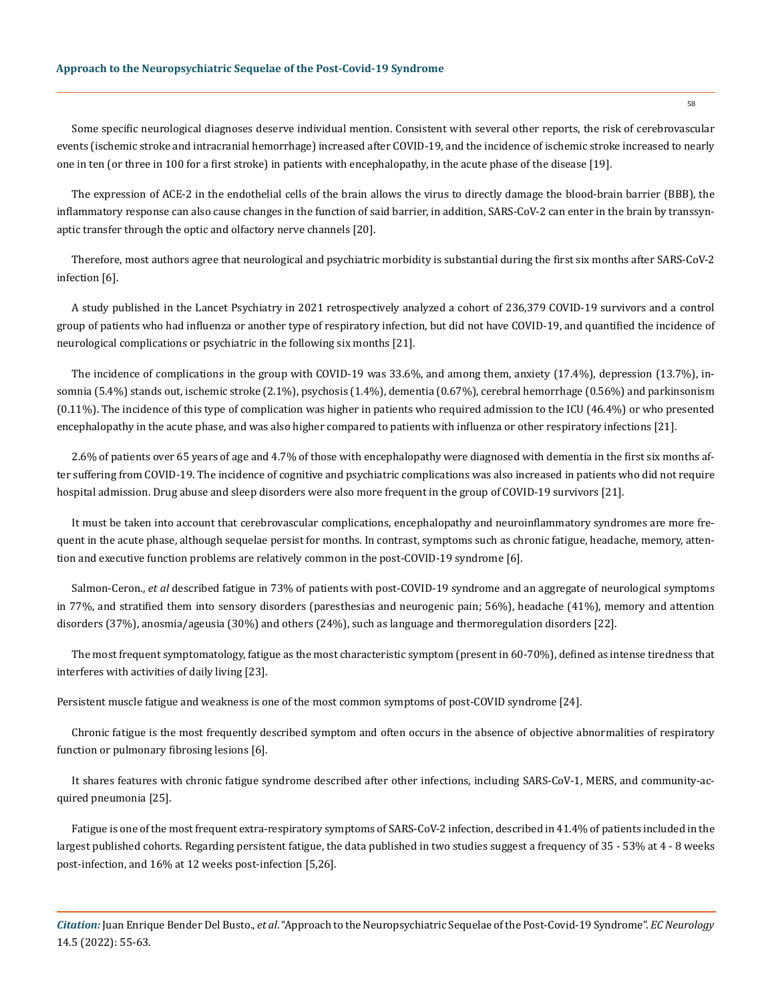Some specific neurological diagnoses deserve individual mention. Consistent with several other reports, the risk of cerebrovascular events (ischemic stroke and intracranial hemorrhage) increased after COVID-19, and the incidence of ischemic stroke increased to nearly one in ten (or three in 100 for a first stroke) in patients with encephalopathy, in the acute phase of the disease [19].

The expression of ACE-2 in the endothelial cells of the brain allows the virus to directly damage the blood-brain barrier (BBB), the inflammatory response can also cause changes in the function of said barrier, in addition, SARS-CoV-2 can enter in the brain by transsynaptic transfer through the optic and olfactory nerve channels [20].

Therefore, most authors agree that neurological and psychiatric morbidity is substantial during the first six months after SARS-CoV-2 infection [6].

A study published in the Lancet Psychiatry in 2021 retrospectively analyzed a cohort of 236,379 COVID-19 survivors and a control group of patients who had influenza or another type of respiratory infection, but did not have COVID-19, and quantified the incidence of neurological complications or psychiatric in the following six months [21].

The incidence of complications in the group with COVID-19 was 33.6%, and among them, anxiety (17.4%), depression (13.7%), insomnia (5.4%) stands out, ischemic stroke (2.1%), psychosis (1.4%), dementia (0.67%), cerebral hemorrhage (0.56%) and parkinsonism (0.11%). The incidence of this type of complication was higher in patients who required admission to the ICU (46.4%) or who presented encephalopathy in the acute phase, and was also higher compared to patients with influenza or other respiratory infections [21].

2.6% of patients over 65 years of age and 4.7% of those with encephalopathy were diagnosed with dementia in the first six months after suffering from COVID-19. The incidence of cognitive and psychiatric complications was also increased in patients who did not require hospital admission. Drug abuse and sleep disorders were also more frequent in the group of COVID-19 survivors [21].

It must be taken into account that cerebrovascular complications, encephalopathy and neuroinflammatory syndromes are more frequent in the acute phase, although sequelae persist for months. In contrast, symptoms such as chronic fatigue, headache, memory, attention and executive function problems are relatively common in the post-COVID-19 syndrome [6].

Salmon-Ceron., *et al* described fatigue in 73% of patients with post-COVID-19 syndrome and an aggregate of neurological symptoms in 77%, and stratified them into sensory disorders (paresthesias and neurogenic pain; 56%), headache (41%), memory and attention disorders (37%), anosmia/ageusia (30%) and others (24%), such as language and thermoregulation disorders [22].

The most frequent symptomatology, fatigue as the most characteristic symptom (present in 60-70%), defined as intense tiredness that interferes with activities of daily living [23].

Persistent muscle fatigue and weakness is one of the most common symptoms of post-COVID syndrome [24].

Chronic fatigue is the most frequently described symptom and often occurs in the absence of objective abnormalities of respiratory function or pulmonary fibrosing lesions [6].

It shares features with chronic fatigue syndrome described after other infections, including SARS-CoV-1, MERS, and community-acquired pneumonia [25].

Fatigue is one of the most frequent extra-respiratory symptoms of SARS-CoV-2 infection, described in 41.4% of patients included in the largest published cohorts. Regarding persistent fatigue, the data published in two studies suggest a frequency of 35 - 53% at 4 - 8 weeks post-infection, and 16% at 12 weeks post-infection [5,26].

*Citation:* Juan Enrique Bender Del Busto., *et al*. "Approach to the Neuropsychiatric Sequelae of the Post-Covid-19 Syndrome". *EC Neurology*  14.5 (2022): 55-63.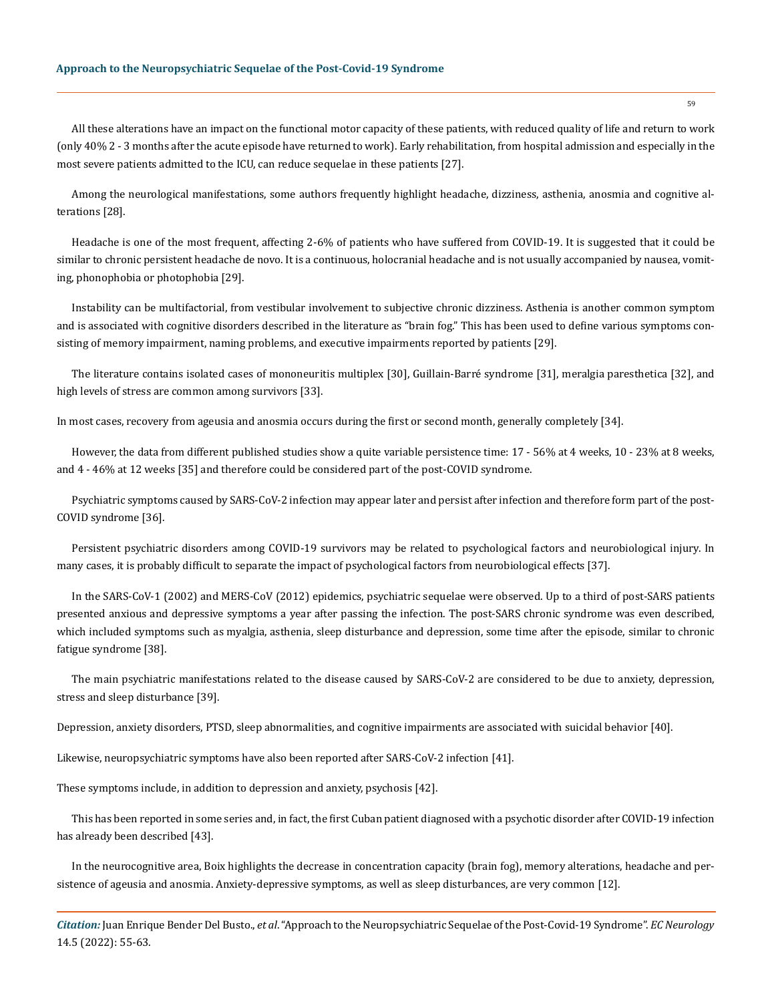All these alterations have an impact on the functional motor capacity of these patients, with reduced quality of life and return to work (only 40% 2 - 3 months after the acute episode have returned to work). Early rehabilitation, from hospital admission and especially in the most severe patients admitted to the ICU, can reduce sequelae in these patients [27].

Among the neurological manifestations, some authors frequently highlight headache, dizziness, asthenia, anosmia and cognitive alterations [28].

Headache is one of the most frequent, affecting 2-6% of patients who have suffered from COVID-19. It is suggested that it could be similar to chronic persistent headache de novo. It is a continuous, holocranial headache and is not usually accompanied by nausea, vomiting, phonophobia or photophobia [29].

Instability can be multifactorial, from vestibular involvement to subjective chronic dizziness. Asthenia is another common symptom and is associated with cognitive disorders described in the literature as "brain fog." This has been used to define various symptoms consisting of memory impairment, naming problems, and executive impairments reported by patients [29].

The literature contains isolated cases of mononeuritis multiplex [30], Guillain-Barré syndrome [31], meralgia paresthetica [32], and high levels of stress are common among survivors [33].

In most cases, recovery from ageusia and anosmia occurs during the first or second month, generally completely [34].

However, the data from different published studies show a quite variable persistence time: 17 - 56% at 4 weeks, 10 - 23% at 8 weeks, and 4 - 46% at 12 weeks [35] and therefore could be considered part of the post-COVID syndrome.

Psychiatric symptoms caused by SARS-CoV-2 infection may appear later and persist after infection and therefore form part of the post-COVID syndrome [36].

Persistent psychiatric disorders among COVID-19 survivors may be related to psychological factors and neurobiological injury. In many cases, it is probably difficult to separate the impact of psychological factors from neurobiological effects [37].

In the SARS-CoV-1 (2002) and MERS-CoV (2012) epidemics, psychiatric sequelae were observed. Up to a third of post-SARS patients presented anxious and depressive symptoms a year after passing the infection. The post-SARS chronic syndrome was even described, which included symptoms such as myalgia, asthenia, sleep disturbance and depression, some time after the episode, similar to chronic fatigue syndrome [38].

The main psychiatric manifestations related to the disease caused by SARS-CoV-2 are considered to be due to anxiety, depression, stress and sleep disturbance [39].

Depression, anxiety disorders, PTSD, sleep abnormalities, and cognitive impairments are associated with suicidal behavior [40].

Likewise, neuropsychiatric symptoms have also been reported after SARS-CoV-2 infection [41].

These symptoms include, in addition to depression and anxiety, psychosis [42].

This has been reported in some series and, in fact, the first Cuban patient diagnosed with a psychotic disorder after COVID-19 infection has already been described [43].

In the neurocognitive area, Boix highlights the decrease in concentration capacity (brain fog), memory alterations, headache and persistence of ageusia and anosmia. Anxiety-depressive symptoms, as well as sleep disturbances, are very common [12].

*Citation:* Juan Enrique Bender Del Busto., *et al*. "Approach to the Neuropsychiatric Sequelae of the Post-Covid-19 Syndrome". *EC Neurology*  14.5 (2022): 55-63.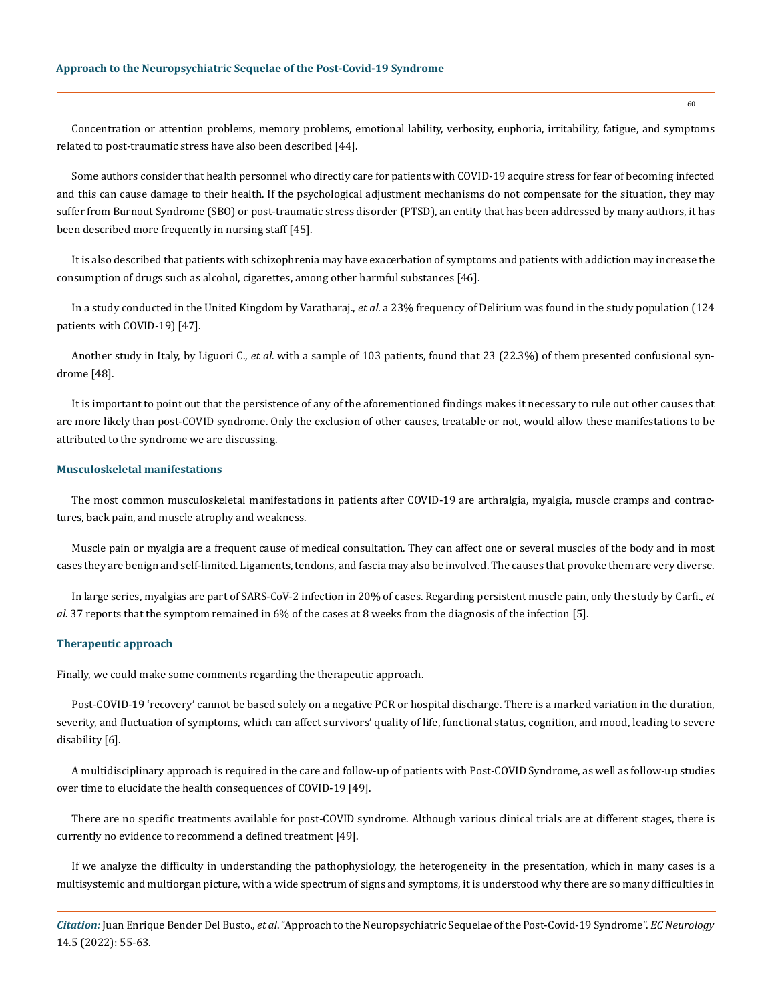Concentration or attention problems, memory problems, emotional lability, verbosity, euphoria, irritability, fatigue, and symptoms related to post-traumatic stress have also been described [44].

Some authors consider that health personnel who directly care for patients with COVID-19 acquire stress for fear of becoming infected and this can cause damage to their health. If the psychological adjustment mechanisms do not compensate for the situation, they may suffer from Burnout Syndrome (SBO) or post-traumatic stress disorder (PTSD), an entity that has been addressed by many authors, it has been described more frequently in nursing staff [45].

It is also described that patients with schizophrenia may have exacerbation of symptoms and patients with addiction may increase the consumption of drugs such as alcohol, cigarettes, among other harmful substances [46].

In a study conducted in the United Kingdom by Varatharaj., *et al.* a 23% frequency of Delirium was found in the study population (124 patients with COVID-19) [47].

Another study in Italy, by Liguori C., *et al.* with a sample of 103 patients, found that 23 (22.3%) of them presented confusional syndrome [48].

It is important to point out that the persistence of any of the aforementioned findings makes it necessary to rule out other causes that are more likely than post-COVID syndrome. Only the exclusion of other causes, treatable or not, would allow these manifestations to be attributed to the syndrome we are discussing.

#### **Musculoskeletal manifestations**

The most common musculoskeletal manifestations in patients after COVID-19 are arthralgia, myalgia, muscle cramps and contractures, back pain, and muscle atrophy and weakness.

Muscle pain or myalgia are a frequent cause of medical consultation. They can affect one or several muscles of the body and in most cases they are benign and self-limited. Ligaments, tendons, and fascia may also be involved. The causes that provoke them are very diverse.

In large series, myalgias are part of SARS-CoV-2 infection in 20% of cases. Regarding persistent muscle pain, only the study by Carfi., *et al.* 37 reports that the symptom remained in 6% of the cases at 8 weeks from the diagnosis of the infection [5].

#### **Therapeutic approach**

Finally, we could make some comments regarding the therapeutic approach.

Post-COVID-19 'recovery' cannot be based solely on a negative PCR or hospital discharge. There is a marked variation in the duration, severity, and fluctuation of symptoms, which can affect survivors' quality of life, functional status, cognition, and mood, leading to severe disability [6].

A multidisciplinary approach is required in the care and follow-up of patients with Post-COVID Syndrome, as well as follow-up studies over time to elucidate the health consequences of COVID-19 [49].

There are no specific treatments available for post-COVID syndrome. Although various clinical trials are at different stages, there is currently no evidence to recommend a defined treatment [49].

If we analyze the difficulty in understanding the pathophysiology, the heterogeneity in the presentation, which in many cases is a multisystemic and multiorgan picture, with a wide spectrum of signs and symptoms, it is understood why there are so many difficulties in

*Citation:* Juan Enrique Bender Del Busto., *et al*. "Approach to the Neuropsychiatric Sequelae of the Post-Covid-19 Syndrome". *EC Neurology*  14.5 (2022): 55-63.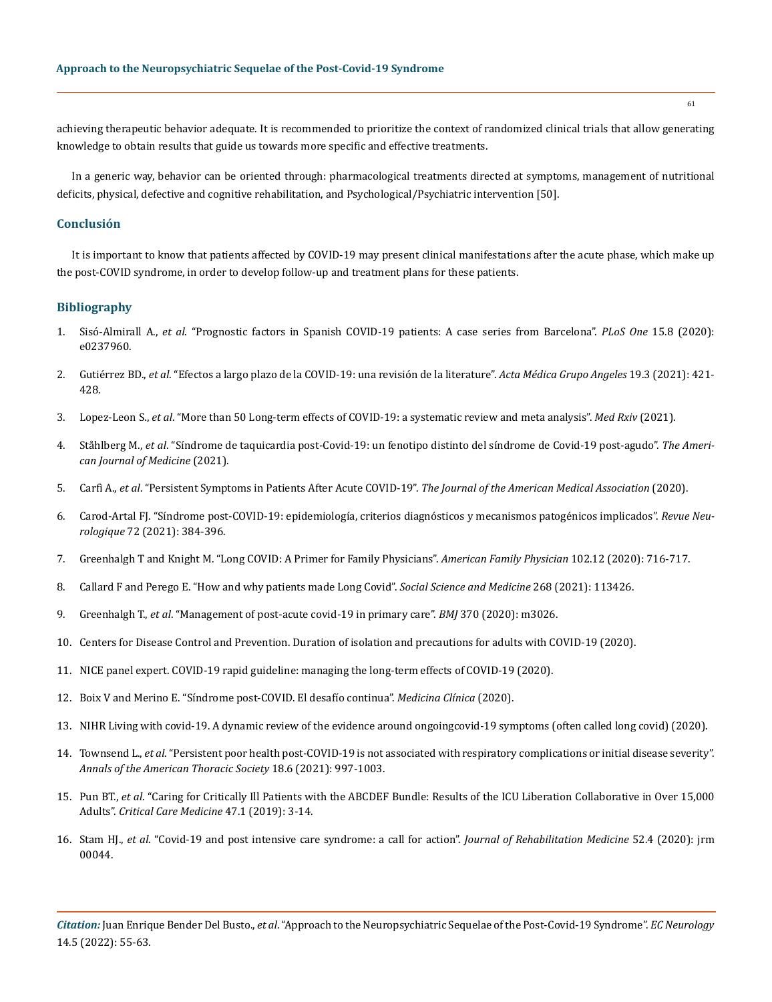achieving therapeutic behavior adequate. It is recommended to prioritize the context of randomized clinical trials that allow generating knowledge to obtain results that guide us towards more specific and effective treatments.

In a generic way, behavior can be oriented through: pharmacological treatments directed at symptoms, management of nutritional deficits, physical, defective and cognitive rehabilitation, and Psychological/Psychiatric intervention [50].

## **Conclusión**

It is important to know that patients affected by COVID-19 may present clinical manifestations after the acute phase, which make up the post-COVID syndrome, in order to develop follow-up and treatment plans for these patients.

#### **Bibliography**

- 1. Sisó-Almirall A., *et al*[. "Prognostic factors in Spanish COVID-19 patients: A case series from Barcelona".](https://journals.plos.org/plosone/article?id=10.1371/journal.pone.0237960) *PLoS One* 15.8 (2020): [e0237960.](https://journals.plos.org/plosone/article?id=10.1371/journal.pone.0237960)
- 2. Gutiérrez BD., *et al*[. "Efectos a largo plazo de la COVID-19: una revisión de la literature".](https://www.medigraphic.com/cgi-bin/new/resumen.cgi?IDARTICULO=101741&id2=) *Acta Médica Grupo Angeles* 19.3 (2021): 421- [428.](https://www.medigraphic.com/cgi-bin/new/resumen.cgi?IDARTICULO=101741&id2=)
- 3. Lopez-Leon S., *et al*[. "More than 50 Long-term effects of COVID-19: a systematic review and meta analysis".](https://www.nature.com/articles/s41598-021-95565-8) *Med Rxiv* (2021).
- 4. Ståhlberg M., *et al*. "Síndrome de taquicardia post-Covid-19: un fenotipo distinto del síndrome de Covid-19 post-agudo". *The American Journal of Medicine* (2021).
- 5. Carfì A., *et al*[. "Persistent Symptoms in Patients After Acute COVID-19".](https://jamanetwork.com/journals/jama/fullarticle/2768351) *The Journal of the American Medical Association* (2020).
- 6. [Carod-Artal FJ. "Síndrome post-COVID-19: epidemiología, criterios diagnósticos y mecanismos patogénicos implicados".](https://medes.com/publication/161993) *Revue Neurologique* [72 \(2021\): 384-396.](https://medes.com/publication/161993)
- 7. [Greenhalgh T and Knight M. "Long COVID: A Primer for Family Physicians".](https://www.aafp.org/afp/2020/1215/p716.html) *American Family Physician* 102.12 (2020): 716-717.
- 8. [Callard F and Perego E. "How and why patients made Long Covid".](https://www.ncbi.nlm.nih.gov/pmc/articles/PMC7539940/) *Social Science and Medicine* 268 (2021): 113426.
- 9. Greenhalgh T., *et al*[. "Management of post-acute covid-19 in primary care".](https://www.bmj.com/content/370/bmj.m3026) *BMJ* 370 (2020): m3026.
- 10. Centers for Disease Control and Prevention. Duration of isolation and precautions for adults with COVID-19 (2020).
- 11. [NICE panel expert. COVID-19 rapid guideline: managing the long-term effects of COVID-19 \(2020\).](https://pubmed.ncbi.nlm.nih.gov/33555768/)
- 12. [Boix V and Merino E. "Síndrome post-COVID. El desafío continua".](https://www.elsevier.es/es-revista-medicina-clinica-2-articulo-sindrome-post-covid-el-desafio-continua-S0025775321006072) *Medicina Clínica* (2020).
- 13. [NIHR Living with covid-19. A dynamic review of the evidence around ongoingcovid-19 symptoms \(often called long covid\) \(2020\).](https://evidence.nihr.ac.uk/themedreview/living-with-covid19/)
- 14. Townsend L., *et al*[. "Persistent poor health post-COVID-19 is not associated with respiratory complications or initial disease severity".](https://pubmed.ncbi.nlm.nih.gov/33413026/)  *[Annals of the American Thoracic Society](https://pubmed.ncbi.nlm.nih.gov/33413026/)* 18.6 (2021): 997-1003.
- 15. Pun BT., *et al*[. "Caring for Critically Ill Patients with the ABCDEF Bundle: Results of the ICU Liberation Collaborative in Over 15,000](https://pubmed.ncbi.nlm.nih.gov/30339549/)  Adults". *[Critical Care Medicine](https://pubmed.ncbi.nlm.nih.gov/30339549/)* 47.1 (2019): 3-14.
- 16. Stam HJ., *et al*[. "Covid-19 and post intensive care syndrome: a call for action".](https://pubmed.ncbi.nlm.nih.gov/32286675/) *Journal of Rehabilitation Medicine* 52.4 (2020): jrm [00044.](https://pubmed.ncbi.nlm.nih.gov/32286675/)

*Citation:* Juan Enrique Bender Del Busto., *et al*. "Approach to the Neuropsychiatric Sequelae of the Post-Covid-19 Syndrome". *EC Neurology*  14.5 (2022): 55-63.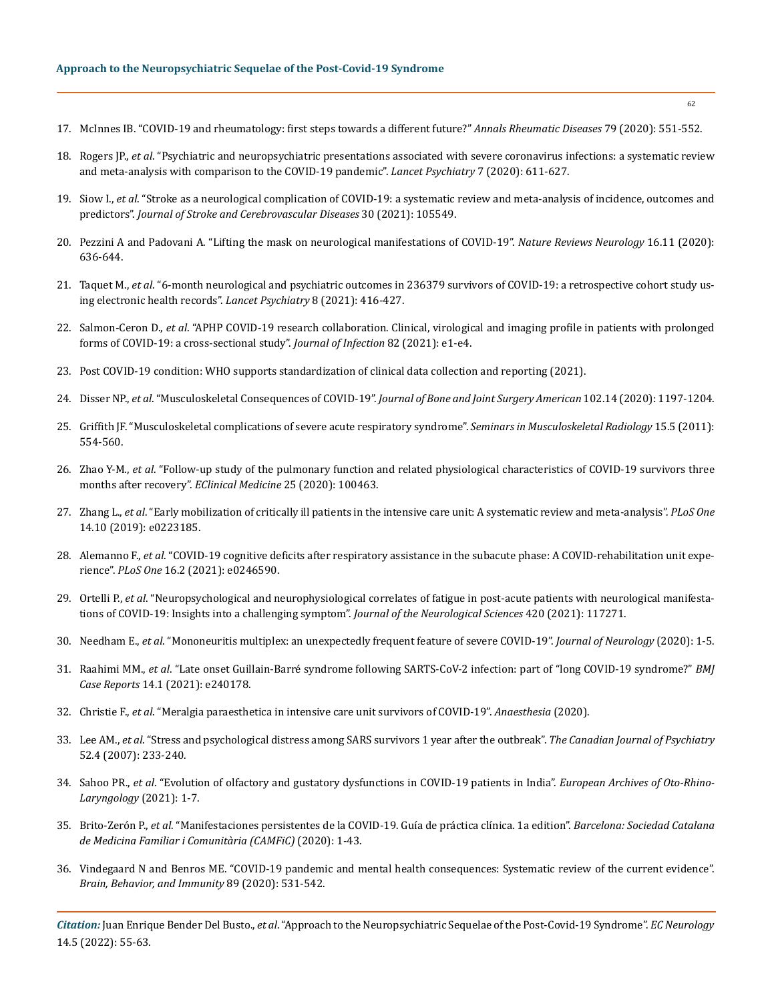- 17. [McInnes IB. "COVID-19 and rheumatology: first steps towards a different future?"](https://pubmed.ncbi.nlm.nih.gov/32299844/) *Annals Rheumatic Diseases* 79 (2020): 551-552.
- 18. Rogers JP., *et al*[. "Psychiatric and neuropsychiatric presentations associated with severe coronavirus infections: a systematic review](https://www.thelancet.com/journals/lanpsy/article/PIIS2215-0366(20)30203-0/fulltext)  [and meta-analysis with comparison to the COVID-19 pandemic".](https://www.thelancet.com/journals/lanpsy/article/PIIS2215-0366(20)30203-0/fulltext) *Lancet Psychiatry* 7 (2020): 611-627.
- 19. Siow I., *et al*[. "Stroke as a neurological complication of COVID-19: a systematic review and meta-analysis of incidence, outcomes and](https://pubmed.ncbi.nlm.nih.gov/33341565/)  predictors". *[Journal of Stroke and Cerebrovascular Diseases](https://pubmed.ncbi.nlm.nih.gov/33341565/)* 30 (2021): 105549.
- 20. [Pezzini A and Padovani A. "Lifting the mask on neurological manifestations of COVID-19".](https://www.nature.com/articles/s41582-020-0398-3) *Nature Reviews Neurology* 16.11 (2020): [636-644.](https://www.nature.com/articles/s41582-020-0398-3)
- 21. Taquet M., *et al*[. "6-month neurological and psychiatric outcomes in 236379 survivors of COVID-19: a retrospective cohort study us](https://www.thelancet.com/journals/ebiom/article/PIIS2352-3964(21)00217-6/fulltext)[ing electronic health records".](https://www.thelancet.com/journals/ebiom/article/PIIS2352-3964(21)00217-6/fulltext) *Lancet Psychiatry* 8 (2021): 416-427.
- 22. Salmon-Ceron D., *et al*[. "APHP COVID-19 research collaboration. Clinical, virological and imaging profile in patients with prolonged](https://pubmed.ncbi.nlm.nih.gov/33285216/)  [forms of COVID-19: a cross-sectional study".](https://pubmed.ncbi.nlm.nih.gov/33285216/) *Journal of Infection* 82 (2021): e1-e4.
- 23. [Post COVID-19 condition: WHO supports standardization of clinical data collection and reporting \(2021\).](https://www.who.int/news/item/12-08-2021-post-covid-19-condition-who-supports-standardization-of-clinical-data-collection-and-reporting)
- 24. Disser NP., *et al*. "Musculoskeletal Consequences of COVID-19". *[Journal of Bone and Joint Surgery American](https://pubmed.ncbi.nlm.nih.gov/32675661/)* 102.14 (2020): 1197-1204.
- 25. [Griffith JF. "Musculoskeletal complications of severe acute respiratory syndrome".](https://pubmed.ncbi.nlm.nih.gov/22081289/) *Seminars in Musculoskeletal Radiology* 15.5 (2011): [554-560.](https://pubmed.ncbi.nlm.nih.gov/22081289/)
- 26. Zhao Y-M., *et al*[. "Follow-up study of the pulmonary function and related physiological characteristics of COVID-19 survivors three](https://pubmed.ncbi.nlm.nih.gov/32838236/)  [months after recovery".](https://pubmed.ncbi.nlm.nih.gov/32838236/) *EClinical Medicine* 25 (2020): 100463.
- 27. Zhang L., *et al*[. "Early mobilization of critically ill patients in the intensive care unit: A systematic review and meta-analysis".](https://pubmed.ncbi.nlm.nih.gov/31581205/) *PLoS One* [14.10 \(2019\): e0223185.](https://pubmed.ncbi.nlm.nih.gov/31581205/)
- 28. Alemanno F., *et al*[. "COVID-19 cognitive deficits after respiratory assistance in the subacute phase: A COVID-rehabilitation unit expe](https://pubmed.ncbi.nlm.nih.gov/33556127/)rience". *PLoS One* [16.2 \(2021\): e0246590.](https://pubmed.ncbi.nlm.nih.gov/33556127/)
- 29. Ortelli P., *et al*[. "Neuropsychological and neurophysiological correlates of fatigue in post-acute patients with neurological manifesta](https://pubmed.ncbi.nlm.nih.gov/33359928/)[tions of COVID-19: Insights into a challenging symptom".](https://pubmed.ncbi.nlm.nih.gov/33359928/) *Journal of the Neurological Sciences* 420 (2021): 117271.
- 30. Needham E., *et al*[. "Mononeuritis multiplex: an unexpectedly frequent feature of severe COVID-19".](https://www.ncbi.nlm.nih.gov/pmc/articles/PMC7690651/) *Journal of Neurology* (2020): 1-5.
- 31. Raahimi MM., *et al*[. "Late onset Guillain-Barré syndrome following SARTS-CoV-2 infection: part of "long COVID-19 syndrome?"](https://casereports.bmj.com/content/14/1/e240178) *BMJ Case Reports* [14.1 \(2021\): e240178.](https://casereports.bmj.com/content/14/1/e240178)
- 32. Christie F., *et al*[. "Meralgia paraesthetica in intensive care unit survivors of COVID-19".](https://associationofanaesthetists-publications.onlinelibrary.wiley.com/doi/full/10.1111/anae.15355) *Anaesthesia* (2020).
- 33. Lee AM., *et al*[. "Stress and psychological distress among SARS survivors 1 year after the outbreak".](https://pubmed.ncbi.nlm.nih.gov/17500304/) *The Canadian Journal of Psychiatry* [52.4 \(2007\): 233-240.](https://pubmed.ncbi.nlm.nih.gov/17500304/)
- 34. Sahoo PR., *et al*[. "Evolution of olfactory and gustatory dysfunctions in COVID-19 patients in India".](https://www.ncbi.nlm.nih.gov/pmc/articles/PMC7779103/) *European Archives of Oto-Rhino-[Laryngology](https://www.ncbi.nlm.nih.gov/pmc/articles/PMC7779103/)* (2021): 1-7.
- 35. Brito-Zerón P., *et al*[. "Manifestaciones persistentes de la COVID-19. Guía de práctica clínica. 1a edition".](https://www.semfyc.es/wp-content/uploads/2021/12/04-Covid19-persistente.pdf) *Barcelona: Sociedad Catalana [de Medicina Familiar i Comunitària \(CAMFiC\)](https://www.semfyc.es/wp-content/uploads/2021/12/04-Covid19-persistente.pdf)* (2020): 1-43.
- 36. [Vindegaard N and Benros ME. "COVID-19 pandemic and mental health consequences: Systematic review of the current evidence".](https://pubmed.ncbi.nlm.nih.gov/32485289/)  *[Brain, Behavior, and Immunity](https://pubmed.ncbi.nlm.nih.gov/32485289/)* 89 (2020): 531-542.

*Citation:* Juan Enrique Bender Del Busto., *et al*. "Approach to the Neuropsychiatric Sequelae of the Post-Covid-19 Syndrome". *EC Neurology*  14.5 (2022): 55-63.